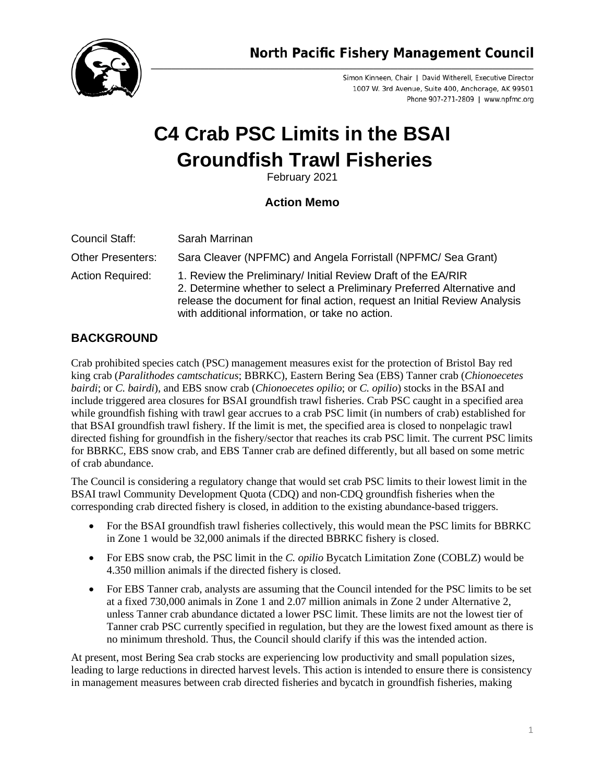

**North Pacific Fishery Management Council** 

Simon Kinneen, Chair | David Witherell, Executive Director 1007 W. 3rd Avenue, Suite 400, Anchorage, AK 99501 Phone 907-271-2809 | www.npfmc.org

# **C4 Crab PSC Limits in the BSAI Groundfish Trawl Fisheries**

February 2021

### **Action Memo**

| Council Staff:           | Sarah Marrinan                                                                                                                                                                                                                                                          |
|--------------------------|-------------------------------------------------------------------------------------------------------------------------------------------------------------------------------------------------------------------------------------------------------------------------|
| <b>Other Presenters:</b> | Sara Cleaver (NPFMC) and Angela Forristall (NPFMC/ Sea Grant)                                                                                                                                                                                                           |
| <b>Action Required:</b>  | 1. Review the Preliminary/ Initial Review Draft of the EA/RIR<br>2. Determine whether to select a Preliminary Preferred Alternative and<br>release the document for final action, request an Initial Review Analysis<br>with additional information, or take no action. |

## **BACKGROUND**

Crab prohibited species catch (PSC) management measures exist for the protection of Bristol Bay red king crab (*Paralithodes camtschaticus*; BBRKC), Eastern Bering Sea (EBS) Tanner crab (*Chionoecetes bairdi*; or *C. bairdi*), and EBS snow crab (*Chionoecetes opilio*; or *C. opilio*) stocks in the BSAI and include triggered area closures for BSAI groundfish trawl fisheries. Crab PSC caught in a specified area while groundfish fishing with trawl gear accrues to a crab PSC limit (in numbers of crab) established for that BSAI groundfish trawl fishery. If the limit is met, the specified area is closed to nonpelagic trawl directed fishing for groundfish in the fishery/sector that reaches its crab PSC limit. The current PSC limits for BBRKC, EBS snow crab, and EBS Tanner crab are defined differently, but all based on some metric of crab abundance.

The Council is considering a regulatory change that would set crab PSC limits to their lowest limit in the BSAI trawl Community Development Quota (CDQ) and non-CDQ groundfish fisheries when the corresponding crab directed fishery is closed, in addition to the existing abundance-based triggers.

- For the BSAI groundfish trawl fisheries collectively, this would mean the PSC limits for BBRKC in Zone 1 would be 32,000 animals if the directed BBRKC fishery is closed.
- For EBS snow crab, the PSC limit in the *C. opilio* Bycatch Limitation Zone (COBLZ) would be 4.350 million animals if the directed fishery is closed.
- For EBS Tanner crab, analysts are assuming that the Council intended for the PSC limits to be set at a fixed 730,000 animals in Zone 1 and 2.07 million animals in Zone 2 under Alternative 2, unless Tanner crab abundance dictated a lower PSC limit. These limits are not the lowest tier of Tanner crab PSC currently specified in regulation, but they are the lowest fixed amount as there is no minimum threshold. Thus, the Council should clarify if this was the intended action.

At present, most Bering Sea crab stocks are experiencing low productivity and small population sizes, leading to large reductions in directed harvest levels. This action is intended to ensure there is consistency in management measures between crab directed fisheries and bycatch in groundfish fisheries, making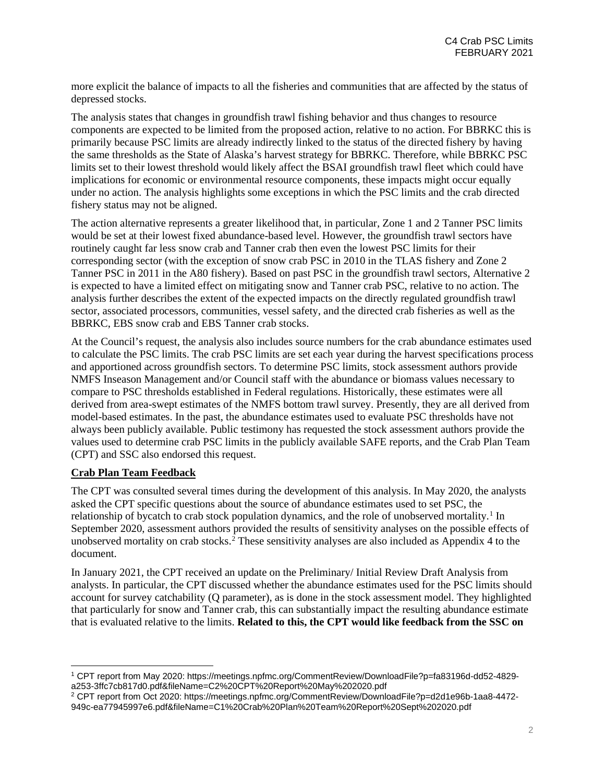more explicit the balance of impacts to all the fisheries and communities that are affected by the status of depressed stocks.

The analysis states that changes in groundfish trawl fishing behavior and thus changes to resource components are expected to be limited from the proposed action, relative to no action. For BBRKC this is primarily because PSC limits are already indirectly linked to the status of the directed fishery by having the same thresholds as the State of Alaska's harvest strategy for BBRKC. Therefore, while BBRKC PSC limits set to their lowest threshold would likely affect the BSAI groundfish trawl fleet which could have implications for economic or environmental resource components, these impacts might occur equally under no action. The analysis highlights some exceptions in which the PSC limits and the crab directed fishery status may not be aligned.

The action alternative represents a greater likelihood that, in particular, Zone 1 and 2 Tanner PSC limits would be set at their lowest fixed abundance-based level. However, the groundfish trawl sectors have routinely caught far less snow crab and Tanner crab then even the lowest PSC limits for their corresponding sector (with the exception of snow crab PSC in 2010 in the TLAS fishery and Zone 2 Tanner PSC in 2011 in the A80 fishery). Based on past PSC in the groundfish trawl sectors, Alternative 2 is expected to have a limited effect on mitigating snow and Tanner crab PSC, relative to no action. The analysis further describes the extent of the expected impacts on the directly regulated groundfish trawl sector, associated processors, communities, vessel safety, and the directed crab fisheries as well as the BBRKC, EBS snow crab and EBS Tanner crab stocks.

At the Council's request, the analysis also includes source numbers for the crab abundance estimates used to calculate the PSC limits. The crab PSC limits are set each year during the harvest specifications process and apportioned across groundfish sectors. To determine PSC limits, stock assessment authors provide NMFS Inseason Management and/or Council staff with the abundance or biomass values necessary to compare to PSC thresholds established in Federal regulations. Historically, these estimates were all derived from area-swept estimates of the NMFS bottom trawl survey. Presently, they are all derived from model-based estimates. In the past, the abundance estimates used to evaluate PSC thresholds have not always been publicly available. Public testimony has requested the stock assessment authors provide the values used to determine crab PSC limits in the publicly available SAFE reports, and the Crab Plan Team (CPT) and SSC also endorsed this request.

#### **Crab Plan Team Feedback**

The CPT was consulted several times during the development of this analysis. In May 2020, the analysts asked the CPT specific questions about the source of abundance estimates used to set PSC, the relationship of bycatch to crab stock population dynamics, and the role of unobserved mortality.<sup>[1](#page-1-0)</sup> In September 2020, assessment authors provided the results of sensitivity analyses on the possible effects of unobserved mortality on crab stocks.[2](#page-1-1) These sensitivity analyses are also included as Appendix 4 to the document.

In January 2021, the CPT received an update on the Preliminary/ Initial Review Draft Analysis from analysts. In particular, the CPT discussed whether the abundance estimates used for the PSC limits should account for survey catchability (Q parameter), as is done in the stock assessment model. They highlighted that particularly for snow and Tanner crab, this can substantially impact the resulting abundance estimate that is evaluated relative to the limits. **Related to this, the CPT would like feedback from the SSC on** 

<span id="page-1-0"></span><sup>1</sup> CPT report from May 2020: https://meetings.npfmc.org/CommentReview/DownloadFile?p=fa83196d-dd52-4829 a253-3ffc7cb817d0.pdf&fileName=C2%20CPT%20Report%20May%202020.pdf

<span id="page-1-1"></span><sup>2</sup> CPT report from Oct 2020: https://meetings.npfmc.org/CommentReview/DownloadFile?p=d2d1e96b-1aa8-4472- 949c-ea77945997e6.pdf&fileName=C1%20Crab%20Plan%20Team%20Report%20Sept%202020.pdf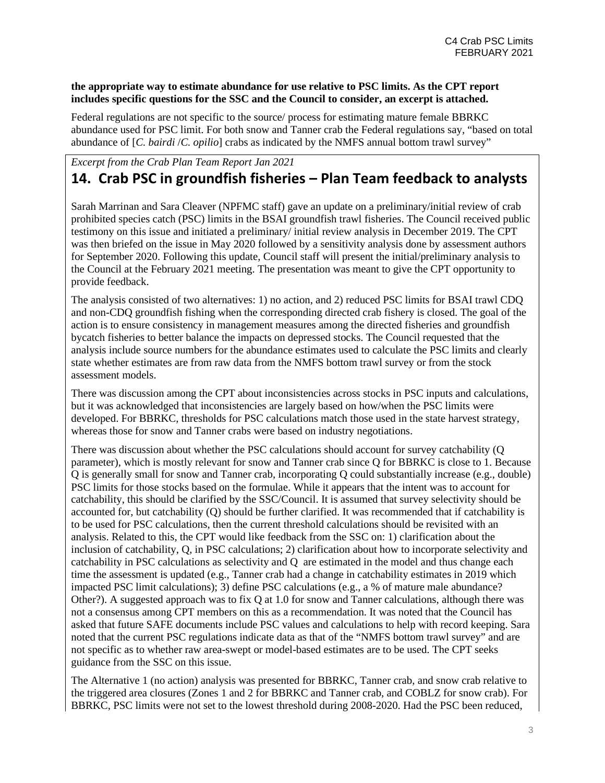#### **the appropriate way to estimate abundance for use relative to PSC limits. As the CPT report includes specific questions for the SSC and the Council to consider, an excerpt is attached.**

Federal regulations are not specific to the source/ process for estimating mature female BBRKC abundance used for PSC limit. For both snow and Tanner crab the Federal regulations say, "based on total abundance of [*C. bairdi* /*C. opilio*] crabs as indicated by the NMFS annual bottom trawl survey"

# *Excerpt from the Crab Plan Team Report Jan 2021* **14. Crab PSC in groundfish fisheries – Plan Team feedback to analysts**

Sarah Marrinan and Sara Cleaver (NPFMC staff) gave an update on a preliminary/initial review of crab prohibited species catch (PSC) limits in the BSAI groundfish trawl fisheries. The Council received public testimony on this issue and initiated a preliminary/ initial review analysis in December 2019. The CPT was then briefed on the issue in May 2020 followed by a sensitivity analysis done by assessment authors for September 2020. Following this update, Council staff will present the initial/preliminary analysis to the Council at the February 2021 meeting. The presentation was meant to give the CPT opportunity to provide feedback.

The analysis consisted of two alternatives: 1) no action, and 2) reduced PSC limits for BSAI trawl CDQ and non-CDQ groundfish fishing when the corresponding directed crab fishery is closed. The goal of the action is to ensure consistency in management measures among the directed fisheries and groundfish bycatch fisheries to better balance the impacts on depressed stocks. The Council requested that the analysis include source numbers for the abundance estimates used to calculate the PSC limits and clearly state whether estimates are from raw data from the NMFS bottom trawl survey or from the stock assessment models.

There was discussion among the CPT about inconsistencies across stocks in PSC inputs and calculations, but it was acknowledged that inconsistencies are largely based on how/when the PSC limits were developed. For BBRKC, thresholds for PSC calculations match those used in the state harvest strategy, whereas those for snow and Tanner crabs were based on industry negotiations.

There was discussion about whether the PSC calculations should account for survey catchability (Q parameter), which is mostly relevant for snow and Tanner crab since Q for BBRKC is close to 1. Because Q is generally small for snow and Tanner crab, incorporating Q could substantially increase (e.g., double) PSC limits for those stocks based on the formulae. While it appears that the intent was to account for catchability, this should be clarified by the SSC/Council. It is assumed that survey selectivity should be accounted for, but catchability (Q) should be further clarified. It was recommended that if catchability is to be used for PSC calculations, then the current threshold calculations should be revisited with an analysis. Related to this, the CPT would like feedback from the SSC on: 1) clarification about the inclusion of catchability, Q, in PSC calculations; 2) clarification about how to incorporate selectivity and catchability in PSC calculations as selectivity and Q are estimated in the model and thus change each time the assessment is updated (e.g., Tanner crab had a change in catchability estimates in 2019 which impacted PSC limit calculations); 3) define PSC calculations (e.g., a % of mature male abundance? Other?). A suggested approach was to fix Q at 1.0 for snow and Tanner calculations, although there was not a consensus among CPT members on this as a recommendation. It was noted that the Council has asked that future SAFE documents include PSC values and calculations to help with record keeping. Sara noted that the current PSC regulations indicate data as that of the "NMFS bottom trawl survey" and are not specific as to whether raw area-swept or model-based estimates are to be used. The CPT seeks guidance from the SSC on this issue.

The Alternative 1 (no action) analysis was presented for BBRKC, Tanner crab, and snow crab relative to the triggered area closures (Zones 1 and 2 for BBRKC and Tanner crab, and COBLZ for snow crab). For BBRKC, PSC limits were not set to the lowest threshold during 2008-2020. Had the PSC been reduced,